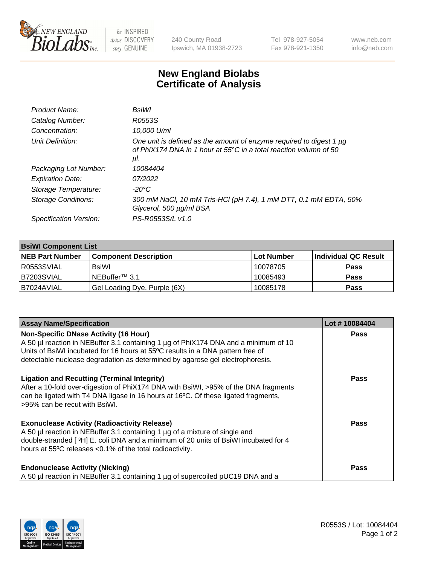

 $be$  INSPIRED drive DISCOVERY stay GENUINE

240 County Road Ipswich, MA 01938-2723 Tel 978-927-5054 Fax 978-921-1350 www.neb.com info@neb.com

## **New England Biolabs Certificate of Analysis**

| BsiWl                                                                                                                                                     |
|-----------------------------------------------------------------------------------------------------------------------------------------------------------|
| R0553S                                                                                                                                                    |
| 10.000 U/ml                                                                                                                                               |
| One unit is defined as the amount of enzyme required to digest 1 µg<br>of PhiX174 DNA in 1 hour at $55^{\circ}$ C in a total reaction volumn of 50<br>μl. |
| 10084404                                                                                                                                                  |
| 07/2022                                                                                                                                                   |
| $-20^{\circ}$ C                                                                                                                                           |
| 300 mM NaCl, 10 mM Tris-HCl (pH 7.4), 1 mM DTT, 0.1 mM EDTA, 50%<br>Glycerol, 500 µg/ml BSA                                                               |
| PS-R0553S/L v1.0                                                                                                                                          |
|                                                                                                                                                           |

| <b>BsiWI Component List</b> |                              |            |                      |  |  |
|-----------------------------|------------------------------|------------|----------------------|--|--|
| <b>NEB Part Number</b>      | <b>Component Description</b> | Lot Number | Individual QC Result |  |  |
| R0553SVIAL                  | <b>BsiWI</b>                 | 10078705   | <b>Pass</b>          |  |  |
| I B7203SVIAL                | NEBuffer™ 3.1                | 10085493   | <b>Pass</b>          |  |  |
| IB7024AVIAL                 | Gel Loading Dye, Purple (6X) | 10085178   | <b>Pass</b>          |  |  |

| <b>Assay Name/Specification</b>                                                                                                                                                                                                                                                       | Lot #10084404 |
|---------------------------------------------------------------------------------------------------------------------------------------------------------------------------------------------------------------------------------------------------------------------------------------|---------------|
| <b>Non-Specific DNase Activity (16 Hour)</b><br>A 50 µl reaction in NEBuffer 3.1 containing 1 µg of PhiX174 DNA and a minimum of 10                                                                                                                                                   | Pass          |
| Units of BsiWI incubated for 16 hours at 55°C results in a DNA pattern free of<br>detectable nuclease degradation as determined by agarose gel electrophoresis.                                                                                                                       |               |
| <b>Ligation and Recutting (Terminal Integrity)</b><br>After a 10-fold over-digestion of PhiX174 DNA with BsiWI, >95% of the DNA fragments<br>can be ligated with T4 DNA ligase in 16 hours at 16°C. Of these ligated fragments,<br>>95% can be recut with BsiWI.                      | Pass          |
| <b>Exonuclease Activity (Radioactivity Release)</b><br>A 50 µl reaction in NEBuffer 3.1 containing 1 µg of a mixture of single and<br>double-stranded [3H] E. coli DNA and a minimum of 20 units of BsiWI incubated for 4<br>hours at 55°C releases <0.1% of the total radioactivity. | Pass          |
| <b>Endonuclease Activity (Nicking)</b><br>A 50 µl reaction in NEBuffer 3.1 containing 1 µg of supercoiled pUC19 DNA and a                                                                                                                                                             | Pass          |